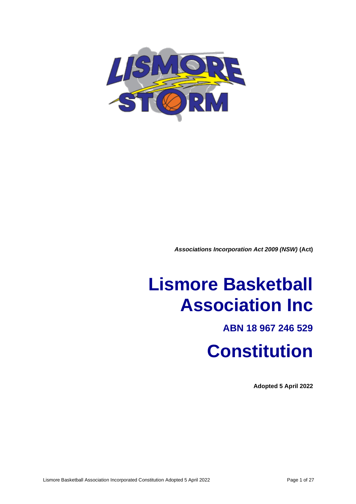

*Associations Incorporation Act 2009 (NSW)* **(Act)**

# **Lismore Basketball Association Inc**

## **ABN 18 967 246 529**

## **Constitution**

**Adopted 5 April 2022**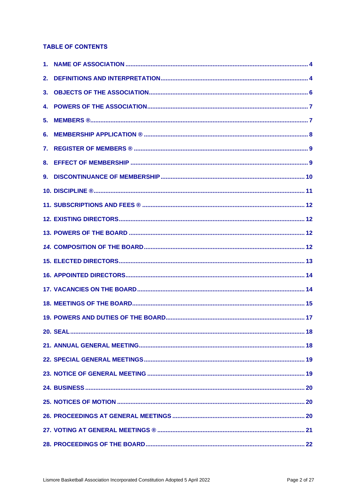## **TABLE OF CONTENTS**

| 2. |  |
|----|--|
| 3. |  |
|    |  |
|    |  |
| 6. |  |
| 7. |  |
|    |  |
| 9. |  |
|    |  |
|    |  |
|    |  |
|    |  |
|    |  |
|    |  |
|    |  |
|    |  |
|    |  |
|    |  |
|    |  |
|    |  |
|    |  |
|    |  |
|    |  |
|    |  |
|    |  |
|    |  |
|    |  |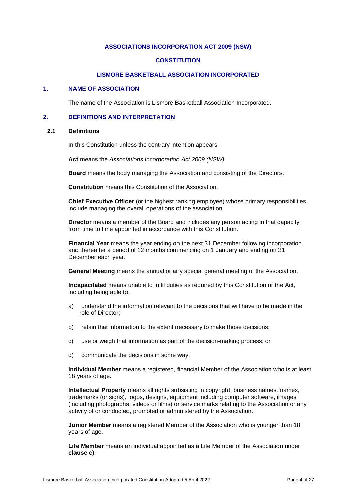## **ASSOCIATIONS INCORPORATION ACT 2009 (NSW)**

## **CONSTITUTION**

## **LISMORE BASKETBALL ASSOCIATION INCORPORATED**

## **1. NAME OF ASSOCIATION**

The name of the Association is Lismore Basketball Association Incorporated.

## **2. DEFINITIONS AND INTERPRETATION**

#### **2.1 Definitions**

In this Constitution unless the contrary intention appears:

**Act** means the *Associations Incorporation Act 2009 (NSW)*.

**Board** means the body managing the Association and consisting of the Directors.

**Constitution** means this Constitution of the Association.

**Chief Executive Officer** (or the highest ranking employee) whose primary responsibilities include managing the overall operations of the association.

**Director** means a member of the Board and includes any person acting in that capacity from time to time appointed in accordance with this Constitution.

**Financial Year** means the year ending on the next 31 December following incorporation and thereafter a period of 12 months commencing on 1 January and ending on 31 December each year.

**General Meeting** means the annual or any special general meeting of the Association.

**Incapacitated** means unable to fulfil duties as required by this Constitution or the Act, including being able to:

- a) understand the information relevant to the decisions that will have to be made in the role of Director;
- b) retain that information to the extent necessary to make those decisions;
- c) use or weigh that information as part of the decision-making process; or
- d) communicate the decisions in some way.

**Individual Member** means a registered, financial Member of the Association who is at least 18 years of age.

**Intellectual Property** means all rights subsisting in copyright, business names, names, trademarks (or signs), logos, designs, equipment including computer software, images (including photographs, videos or films) or service marks relating to the Association or any activity of or conducted, promoted or administered by the Association.

**Junior Member** means a registered Member of the Association who is younger than 18 years of age.

**Life Member** means an individual appointed as a Life Member of the Association under **clause c)**.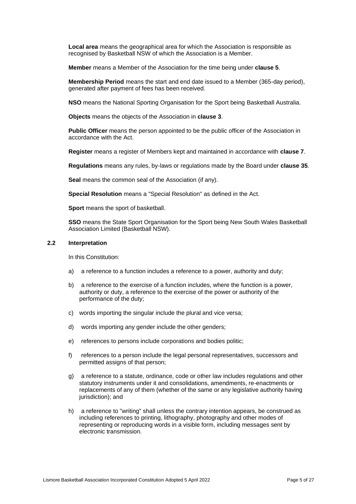**Local area** means the geographical area for which the Association is responsible as recognised by Basketball NSW of which the Association is a Member.

**Member** means a Member of the Association for the time being under **clause 5**.

**Membership Period** means the start and end date issued to a Member (365-day period), generated after payment of fees has been received.

**NSO** means the National Sporting Organisation for the Sport being Basketball Australia.

**Objects** means the objects of the Association in **clause 3**.

**Public Officer** means the person appointed to be the public officer of the Association in accordance with the Act.

**Register** means a register of Members kept and maintained in accordance with **clause 7**.

**Regulations** means any rules, by-laws or regulations made by the Board under **clause 35**.

**Seal** means the common seal of the Association (if any).

**Special Resolution** means a "Special Resolution" as defined in the Act.

**Sport** means the sport of basketball.

**SSO** means the State Sport Organisation for the Sport being New South Wales Basketball Association Limited (Basketball NSW).

#### **2.2 Interpretation**

In this Constitution:

- a) a reference to a function includes a reference to a power, authority and duty;
- b) a reference to the exercise of a function includes, where the function is a power, authority or duty, a reference to the exercise of the power or authority of the performance of the duty;
- c) words importing the singular include the plural and vice versa;
- d) words importing any gender include the other genders;
- e) references to persons include corporations and bodies politic;
- f) references to a person include the legal personal representatives, successors and permitted assigns of that person;
- g) a reference to a statute, ordinance, code or other law includes regulations and other statutory instruments under it and consolidations, amendments, re-enactments or replacements of any of them (whether of the same or any legislative authority having jurisdiction); and
- h) a reference to "writing" shall unless the contrary intention appears, be construed as including references to printing, lithography, photography and other modes of representing or reproducing words in a visible form, including messages sent by electronic transmission.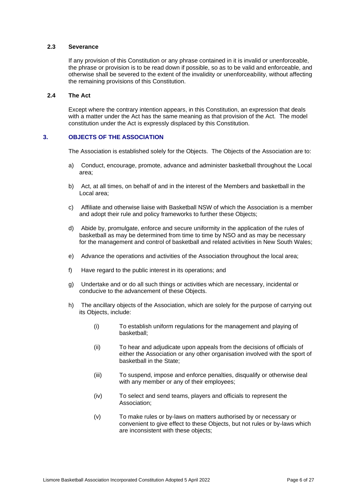## **2.3 Severance**

If any provision of this Constitution or any phrase contained in it is invalid or unenforceable, the phrase or provision is to be read down if possible, so as to be valid and enforceable, and otherwise shall be severed to the extent of the invalidity or unenforceability, without affecting the remaining provisions of this Constitution.

## **2.4 The Act**

Except where the contrary intention appears, in this Constitution, an expression that deals with a matter under the Act has the same meaning as that provision of the Act. The model constitution under the Act is expressly displaced by this Constitution.

## **3. OBJECTS OF THE ASSOCIATION**

The Association is established solely for the Objects. The Objects of the Association are to:

- a) Conduct, encourage, promote, advance and administer basketball throughout the Local area;
- b) Act, at all times, on behalf of and in the interest of the Members and basketball in the Local area;
- c) Affiliate and otherwise liaise with Basketball NSW of which the Association is a member and adopt their rule and policy frameworks to further these Objects;
- d) Abide by, promulgate, enforce and secure uniformity in the application of the rules of basketball as may be determined from time to time by NSO and as may be necessary for the management and control of basketball and related activities in New South Wales;
- e) Advance the operations and activities of the Association throughout the local area;
- f) Have regard to the public interest in its operations; and
- g) Undertake and or do all such things or activities which are necessary, incidental or conducive to the advancement of these Objects.
- h) The ancillary objects of the Association, which are solely for the purpose of carrying out its Objects, include:
	- (i) To establish uniform regulations for the management and playing of basketball;
	- (ii) To hear and adjudicate upon appeals from the decisions of officials of either the Association or any other organisation involved with the sport of basketball in the State;
	- (iii) To suspend, impose and enforce penalties, disqualify or otherwise deal with any member or any of their employees;
	- (iv) To select and send teams, players and officials to represent the Association;
	- (v) To make rules or by-laws on matters authorised by or necessary or convenient to give effect to these Objects, but not rules or by-laws which are inconsistent with these objects;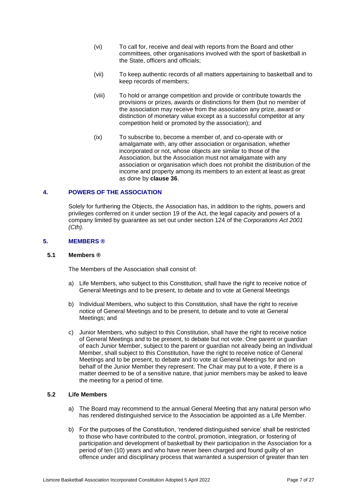- (vi) To call for, receive and deal with reports from the Board and other committees, other organisations involved with the sport of basketball in the State, officers and officials;
- (vii) To keep authentic records of all matters appertaining to basketball and to keep records of members;
- (viii) To hold or arrange competition and provide or contribute towards the provisions or prizes, awards or distinctions for them (but no member of the association may receive from the association any prize, award or distinction of monetary value except as a successful competitor at any competition held or promoted by the association); and
- (ix) To subscribe to, become a member of, and co-operate with or amalgamate with, any other association or organisation, whether incorporated or not, whose objects are similar to those of the Association, but the Association must not amalgamate with any association or organisation which does not prohibit the distribution of the income and property among its members to an extent at least as great as done by **clause 36**.

#### **4. POWERS OF THE ASSOCIATION**

Solely for furthering the Objects, the Association has, in addition to the rights, powers and privileges conferred on it under section 19 of the Act, the legal capacity and powers of a company limited by guarantee as set out under section 124 of the *Corporations Act 2001 (Cth)*.

#### **5. MEMBERS ®**

#### **5.1 Members ®**

The Members of the Association shall consist of:

- a) Life Members, who subject to this Constitution, shall have the right to receive notice of General Meetings and to be present, to debate and to vote at General Meetings
- b) Individual Members, who subject to this Constitution, shall have the right to receive notice of General Meetings and to be present, to debate and to vote at General Meetings; and
- c) Junior Members, who subject to this Constitution, shall have the right to receive notice of General Meetings and to be present, to debate but not vote. One parent or guardian of each Junior Member, subject to the parent or guardian not already being an Individual Member, shall subject to this Constitution, have the right to receive notice of General Meetings and to be present, to debate and to vote at General Meetings for and on behalf of the Junior Member they represent. The Chair may put to a vote, if there is a matter deemed to be of a sensitive nature, that junior members may be asked to leave the meeting for a period of time.

#### **5.2 Life Members**

- a) The Board may recommend to the annual General Meeting that any natural person who has rendered distinguished service to the Association be appointed as a Life Member.
- b) For the purposes of the Constitution, 'rendered distinguished service' shall be restricted to those who have contributed to the control, promotion, integration, or fostering of participation and development of basketball by their participation in the Association for a period of ten (10) years and who have never been charged and found guilty of an offence under and disciplinary process that warranted a suspension of greater than ten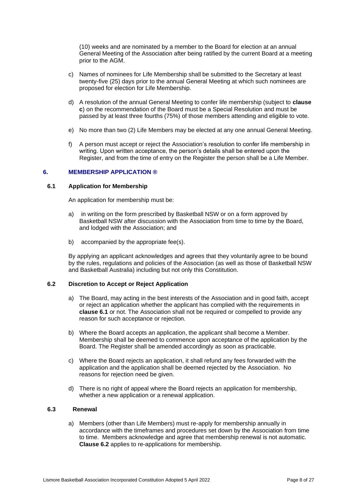(10) weeks and are nominated by a member to the Board for election at an annual General Meeting of the Association after being ratified by the current Board at a meeting prior to the AGM.

- c) Names of nominees for Life Membership shall be submitted to the Secretary at least twenty-five (25) days prior to the annual General Meeting at which such nominees are proposed for election for Life Membership.
- d) A resolution of the annual General Meeting to confer life membership (subject to **clause c**) on the recommendation of the Board must be a Special Resolution and must be passed by at least three fourths (75%) of those members attending and eligible to vote.
- e) No more than two (2) Life Members may be elected at any one annual General Meeting.
- f) A person must accept or reject the Association's resolution to confer life membership in writing. Upon written acceptance, the person's details shall be entered upon the Register, and from the time of entry on the Register the person shall be a Life Member.

#### **6. MEMBERSHIP APPLICATION ®**

#### **6.1 Application for Membership**

An application for membership must be:

- a) in writing on the form prescribed by Basketball NSW or on a form approved by Basketball NSW after discussion with the Association from time to time by the Board, and lodged with the Association; and
- b) accompanied by the appropriate fee(s).

By applying an applicant acknowledges and agrees that they voluntarily agree to be bound by the rules, regulations and policies of the Association (as well as those of Basketball NSW and Basketball Australia) including but not only this Constitution.

#### **6.2 Discretion to Accept or Reject Application**

- a) The Board, may acting in the best interests of the Association and in good faith, accept or reject an application whether the applicant has complied with the requirements in **clause 6.1** or not. The Association shall not be required or compelled to provide any reason for such acceptance or rejection.
- b) Where the Board accepts an application, the applicant shall become a Member. Membership shall be deemed to commence upon acceptance of the application by the Board. The Register shall be amended accordingly as soon as practicable.
- c) Where the Board rejects an application, it shall refund any fees forwarded with the application and the application shall be deemed rejected by the Association. No reasons for rejection need be given.
- d) There is no right of appeal where the Board rejects an application for membership, whether a new application or a renewal application.

## **6.3 Renewal**

a) Members (other than Life Members) must re-apply for membership annually in accordance with the timeframes and procedures set down by the Association from time to time. Members acknowledge and agree that membership renewal is not automatic. **Clause 6.2** applies to re-applications for membership.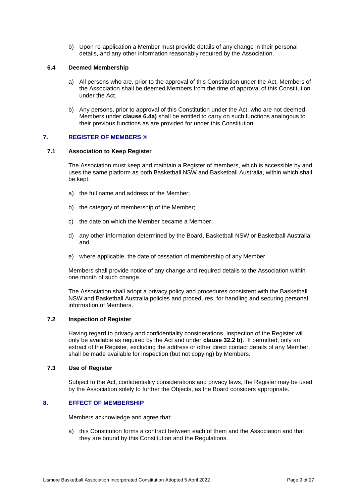b) Upon re-application a Member must provide details of any change in their personal details, and any other information reasonably required by the Association.

## **6.4 Deemed Membership**

- a) All persons who are, prior to the approval of this Constitution under the Act, Members of the Association shall be deemed Members from the time of approval of this Constitution under the Act.
- b) Any persons, prior to approval of this Constitution under the Act, who are not deemed Members under **clause 6.4a)** shall be entitled to carry on such functions analogous to their previous functions as are provided for under this Constitution.

## **7. REGISTER OF MEMBERS ®**

## **7.1 Association to Keep Register**

The Association must keep and maintain a Register of members, which is accessible by and uses the same platform as both Basketball NSW and Basketball Australia, within which shall be kept:

- a) the full name and address of the Member;
- b) the category of membership of the Member;
- c) the date on which the Member became a Member;
- d) any other information determined by the Board, Basketball NSW or Basketball Australia; and
- e) where applicable, the date of cessation of membership of any Member.

Members shall provide notice of any change and required details to the Association within one month of such change.

The Association shall adopt a privacy policy and procedures consistent with the Basketball NSW and Basketball Australia policies and procedures, for handling and securing personal information of Members.

#### **7.2 Inspection of Register**

Having regard to privacy and confidentiality considerations, inspection of the Register will only be available as required by the Act and under **clause 32.2 b)**. If permitted, only an extract of the Register, excluding the address or other direct contact details of any Member, shall be made available for inspection (but not copying) by Members.

#### **7.3 Use of Register**

Subject to the Act, confidentiality considerations and privacy laws, the Register may be used by the Association solely to further the Objects, as the Board considers appropriate.

## **8. EFFECT OF MEMBERSHIP**

Members acknowledge and agree that:

a) this Constitution forms a contract between each of them and the Association and that they are bound by this Constitution and the Regulations.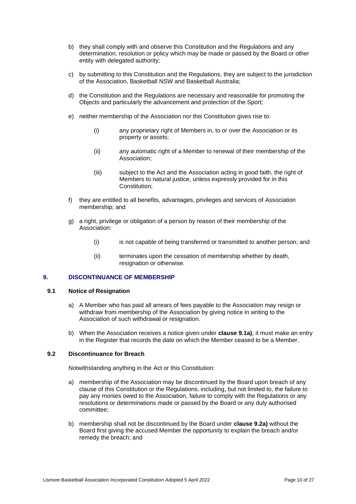- b) they shall comply with and observe this Constitution and the Regulations and any determination, resolution or policy which may be made or passed by the Board or other entity with delegated authority;
- c) by submitting to this Constitution and the Regulations, they are subject to the jurisdiction of the Association, Basketball NSW and Basketball Australia;
- d) the Constitution and the Regulations are necessary and reasonable for promoting the Objects and particularly the advancement and protection of the Sport;
- e) neither membership of the Association nor this Constitution gives rise to:
	- (i) any proprietary right of Members in, to or over the Association or its property or assets;
	- (ii) any automatic right of a Member to renewal of their membership of the Association;
	- (iii) subject to the Act and the Association acting in good faith, the right of Members to natural justice, unless expressly provided for in this Constitution;
- f) they are entitled to all benefits, advantages, privileges and services of Association membership; and
- g) a right, privilege or obligation of a person by reason of their membership of the Association:
	- (i) is not capable of being transferred or transmitted to another person; and
	- (ii) terminates upon the cessation of membership whether by death, resignation or otherwise.

#### **9. DISCONTINUANCE OF MEMBERSHIP**

#### <span id="page-9-0"></span>**9.1 Notice of Resignation**

- a) A Member who has paid all arrears of fees payable to the Association may resign or withdraw from membership of the Association by giving notice in writing to the Association of such withdrawal or resignation.
- b) When the Association receives a notice given under **clause 9.1a)**, it must make an entry in the Register that records the date on which the Member ceased to be a Member.

#### <span id="page-9-1"></span>**9.2 Discontinuance for Breach**

Notwithstanding anything in the Act or this Constitution:

- a) membership of the Association may be discontinued by the Board upon breach of any clause of this Constitution or the Regulations, including, but not limited to, the failure to pay any monies owed to the Association, failure to comply with the Regulations or any resolutions or determinations made or passed by the Board or any duly authorised committee;
- b) membership shall not be discontinued by the Board under **clause 9.2a)** without the Board first giving the accused Member the opportunity to explain the breach and/or remedy the breach; and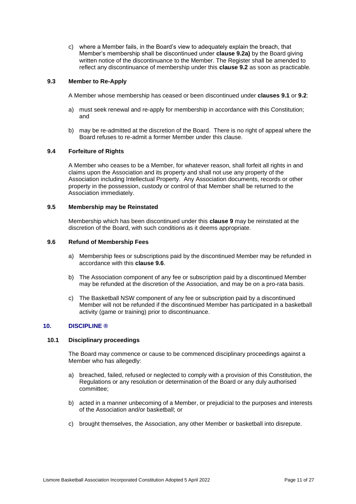c) where a Member fails, in the Board's view to adequately explain the breach, that Member's membership shall be discontinued under **clause 9.2a)** by the Board giving written notice of the discontinuance to the Member. The Register shall be amended to reflect any discontinuance of membership under this **clause 9.2** as soon as practicable.

#### **9.3 Member to Re-Apply**

A Member whose membership has ceased or been discontinued under **clauses [9.1](#page-9-0)** or **[9.2](#page-9-1)**:

- a) must seek renewal and re-apply for membership in accordance with this Constitution; and
- b) may be re-admitted at the discretion of the Board. There is no right of appeal where the Board refuses to re-admit a former Member under this clause.

#### **9.4 Forfeiture of Rights**

A Member who ceases to be a Member, for whatever reason, shall forfeit all rights in and claims upon the Association and its property and shall not use any property of the Association including Intellectual Property. Any Association documents, records or other property in the possession, custody or control of that Member shall be returned to the Association immediately.

#### **9.5 Membership may be Reinstated**

Membership which has been discontinued under this **clause 9** may be reinstated at the discretion of the Board, with such conditions as it deems appropriate.

#### <span id="page-10-0"></span>**9.6 Refund of Membership Fees**

- a) Membership fees or subscriptions paid by the discontinued Member may be refunded in accordance with this **clause [9.6](#page-10-0)**.
- b) The Association component of any fee or subscription paid by a discontinued Member may be refunded at the discretion of the Association, and may be on a pro-rata basis.
- c) The Basketball NSW component of any fee or subscription paid by a discontinued Member will not be refunded if the discontinued Member has participated in a basketball activity (game or training) prior to discontinuance.

#### **10. DISCIPLINE ®**

#### **10.1 Disciplinary proceedings**

The Board may commence or cause to be commenced disciplinary proceedings against a Member who has allegedly:

- a) breached, failed, refused or neglected to comply with a provision of this Constitution, the Regulations or any resolution or determination of the Board or any duly authorised committee;
- b) acted in a manner unbecoming of a Member, or prejudicial to the purposes and interests of the Association and/or basketball; or
- c) brought themselves, the Association, any other Member or basketball into disrepute.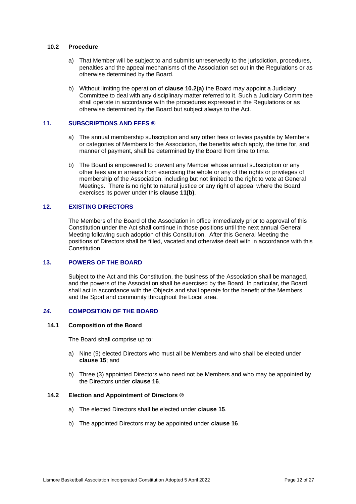#### **10.2 Procedure**

- a) That Member will be subject to and submits unreservedly to the jurisdiction, procedures, penalties and the appeal mechanisms of the Association set out in the Regulations or as otherwise determined by the Board.
- b) Without limiting the operation of **clause 10.2(a)** the Board may appoint a Judiciary Committee to deal with any disciplinary matter referred to it. Such a Judiciary Committee shall operate in accordance with the procedures expressed in the Regulations or as otherwise determined by the Board but subject always to the Act.

## **11. SUBSCRIPTIONS AND FEES ®**

- a) The annual membership subscription and any other fees or levies payable by Members or categories of Members to the Association, the benefits which apply, the time for, and manner of payment, shall be determined by the Board from time to time.
- b) The Board is empowered to prevent any Member whose annual subscription or any other fees are in arrears from exercising the whole or any of the rights or privileges of membership of the Association, including but not limited to the right to vote at General Meetings. There is no right to natural justice or any right of appeal where the Board exercises its power under this **clause 11(b)**.

## **12. EXISTING DIRECTORS**

The Members of the Board of the Association in office immediately prior to approval of this Constitution under the Act shall continue in those positions until the next annual General Meeting following such adoption of this Constitution. After this General Meeting the positions of Directors shall be filled, vacated and otherwise dealt with in accordance with this Constitution.

#### **13. POWERS OF THE BOARD**

Subject to the Act and this Constitution, the business of the Association shall be managed, and the powers of the Association shall be exercised by the Board. In particular, the Board shall act in accordance with the Objects and shall operate for the benefit of the Members and the Sport and community throughout the Local area.

## *14.* **COMPOSITION OF THE BOARD**

## **14.1 Composition of the Board**

The Board shall comprise up to:

- a) Nine (9) elected Directors who must all be Members and who shall be elected under **clause 15**; and
- b) Three (3) appointed Directors who need not be Members and who may be appointed by the Directors under **clause [16](#page-13-0)**.

#### **14.2 Election and Appointment of Directors ®**

- a) The elected Directors shall be elected under **clause 15**.
- b) The appointed Directors may be appointed under **clause 16**.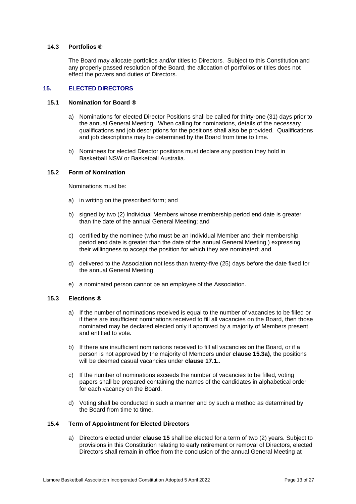## **14.3 Portfolios ®**

The Board may allocate portfolios and/or titles to Directors. Subject to this Constitution and any properly passed resolution of the Board, the allocation of portfolios or titles does not effect the powers and duties of Directors.

#### **15. ELECTED DIRECTORS**

## **15.1 Nomination for Board ®**

- a) Nominations for elected Director Positions shall be called for thirty-one (31) days prior to the annual General Meeting. When calling for nominations, details of the necessary qualifications and job descriptions for the positions shall also be provided. Qualifications and job descriptions may be determined by the Board from time to time.
- b) Nominees for elected Director positions must declare any position they hold in Basketball NSW or Basketball Australia.

#### **15.2 Form of Nomination**

Nominations must be:

- a) in writing on the prescribed form; and
- b) signed by two (2) Individual Members whose membership period end date is greater than the date of the annual General Meeting; and
- c) certified by the nominee (who must be an Individual Member and their membership period end date is greater than the date of the annual General Meeting ) expressing their willingness to accept the position for which they are nominated; and
- d) delivered to the Association not less than twenty-five (25) days before the date fixed for the annual General Meeting.
- e) a nominated person cannot be an employee of the Association.

#### <span id="page-12-0"></span>**15.3 Elections ®**

- a) If the number of nominations received is equal to the number of vacancies to be filled or if there are insufficient nominations received to fill all vacancies on the Board, then those nominated may be declared elected only if approved by a majority of Members present and entitled to vote.
- b) If there are insufficient nominations received to fill all vacancies on the Board, or if a person is not approved by the majority of Members under **clause 15.[3a\)](#page-12-0)**, the positions will be deemed casual vacancies under **clause 17.1.**.
- c) If the number of nominations exceeds the number of vacancies to be filled, voting papers shall be prepared containing the names of the candidates in alphabetical order for each vacancy on the Board.
- d) Voting shall be conducted in such a manner and by such a method as determined by the Board from time to time.

#### **15.4 Term of Appointment for Elected Directors**

a) Directors elected under **clause 15** shall be elected for a term of two (2) years. Subject to provisions in this Constitution relating to early retirement or removal of Directors, elected Directors shall remain in office from the conclusion of the annual General Meeting at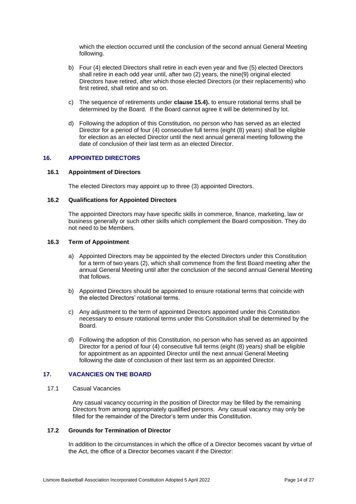which the election occurred until the conclusion of the second annual General Meeting following.

- b) Four (4) elected Directors shall retire in each even year and five (5) elected Directors shall retire in each odd year until, after two (2) years, the nine(9) original elected Directors have retired, after which those elected Directors (or their replacements) who first retired, shall retire and so on.
- c) The sequence of retirements under **clause 15.4).** to ensure rotational terms shall be determined by the Board. If the Board cannot agree it will be determined by lot.
- d) Following the adoption of this Constitution, no person who has served as an elected Director for a period of four (4) consecutive full terms (eight (8) years) shall be eligible for election as an elected Director until the next annual general meeting following the date of conclusion of their last term as an elected Director.

#### <span id="page-13-0"></span>**16. APPOINTED DIRECTORS**

#### **16.1 Appointment of Directors**

The elected Directors may appoint up to three (3) appointed Directors.

## **16.2 Qualifications for Appointed Directors**

The appointed Directors may have specific skills in commerce, finance, marketing, law or business generally or such other skills which complement the Board composition. They do not need to be Members.

#### **16.3 Term of Appointment**

- a) Appointed Directors may be appointed by the elected Directors under this Constitution for a term of two years (2), which shall commence from the first Board meeting after the annual General Meeting until after the conclusion of the second annual General Meeting that follows.
- b) Appointed Directors should be appointed to ensure rotational terms that coincide with the elected Directors' rotational terms.
- c) Any adjustment to the term of appointed Directors appointed under this Constitution necessary to ensure rotational terms under this Constitution shall be determined by the Board.
- d) Following the adoption of this Constitution, no person who has served as an appointed Director for a period of four (4) consecutive full terms (eight (8) years) shall be eligible for appointment as an appointed Director until the next annual General Meeting following the date of conclusion of their last term as an appointed Director.

#### **17. VACANCIES ON THE BOARD**

17.1 Casual Vacancies

Any casual vacancy occurring in the position of Director may be filled by the remaining Directors from among appropriately qualified persons. Any casual vacancy may only be filled for the remainder of the Director's term under this Constitution.

## **17.2 Grounds for Termination of Director**

In addition to the circumstances in which the office of a Director becomes vacant by virtue of the Act, the office of a Director becomes vacant if the Director: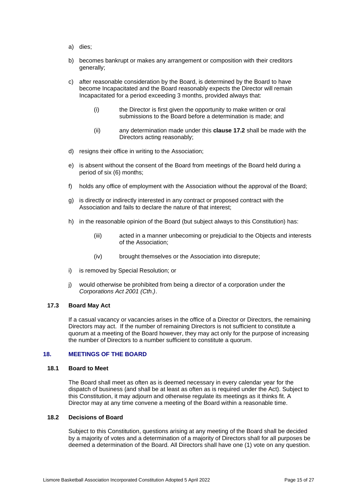- a) dies;
- b) becomes bankrupt or makes any arrangement or composition with their creditors generally;
- c) after reasonable consideration by the Board, is determined by the Board to have become Incapacitated and the Board reasonably expects the Director will remain Incapacitated for a period exceeding 3 months, provided always that:
	- (i) the Director is first given the opportunity to make written or oral submissions to the Board before a determination is made; and
	- (ii) any determination made under this **clause 17.2** shall be made with the Directors acting reasonably;
- d) resigns their office in writing to the Association;
- e) is absent without the consent of the Board from meetings of the Board held during a period of six (6) months;
- f) holds any office of employment with the Association without the approval of the Board;
- g) is directly or indirectly interested in any contract or proposed contract with the Association and fails to declare the nature of that interest;
- h) in the reasonable opinion of the Board (but subject always to this Constitution) has:
	- (iii) acted in a manner unbecoming or prejudicial to the Objects and interests of the Association;
	- (iv) brought themselves or the Association into disrepute;
- i) is removed by Special Resolution; or
- j) would otherwise be prohibited from being a director of a corporation under the *Corporations Act 2001 (Cth.)*.

## **17.3 Board May Act**

If a casual vacancy or vacancies arises in the office of a Director or Directors, the remaining Directors may act. If the number of remaining Directors is not sufficient to constitute a quorum at a meeting of the Board however, they may act only for the purpose of increasing the number of Directors to a number sufficient to constitute a quorum.

#### **18. MEETINGS OF THE BOARD**

#### **18.1 Board to Meet**

The Board shall meet as often as is deemed necessary in every calendar year for the dispatch of business (and shall be at least as often as is required under the Act). Subject to this Constitution, it may adjourn and otherwise regulate its meetings as it thinks fit. A Director may at any time convene a meeting of the Board within a reasonable time.

### **18.2 Decisions of Board**

Subject to this Constitution, questions arising at any meeting of the Board shall be decided by a majority of votes and a determination of a majority of Directors shall for all purposes be deemed a determination of the Board. All Directors shall have one (1) vote on any question.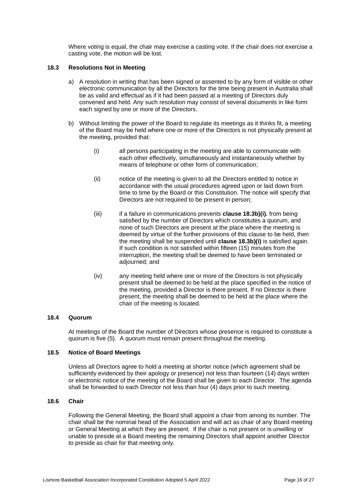Where voting is equal, the chair may exercise a casting vote. If the chair does not exercise a casting vote, the motion will be lost.

## **18.3 Resolutions Not in Meeting**

- a) A resolution in writing that has been signed or assented to by any form of visible or other electronic communication by all the Directors for the time being present in Australia shall be as valid and effectual as if it had been passed at a meeting of Directors duly convened and held. Any such resolution may consist of several documents in like form each signed by one or more of the Directors.
- b) Without limiting the power of the Board to regulate its meetings as it thinks fit, a meeting of the Board may be held where one or more of the Directors is not physically present at the meeting, provided that:
	- (i) all persons participating in the meeting are able to communicate with each other effectively, simultaneously and instantaneously whether by means of telephone or other form of communication;
	- (ii) notice of the meeting is given to all the Directors entitled to notice in accordance with the usual procedures agreed upon or laid down from time to time by the Board or this Constitution. The notice will specify that Directors are not required to be present in person;
	- (iii) if a failure in communications prevents **clause 18.3b)(i).** from being satisfied by the number of Directors which constitutes a quorum, and none of such Directors are present at the place where the meeting is deemed by virtue of the further provisions of this clause to be held, then the meeting shall be suspended until **clause 18.3b)(i)** is satisfied again. If such condition is not satisfied within fifteen (15) minutes from the interruption, the meeting shall be deemed to have been terminated or adjourned; and
	- (iv) any meeting held where one or more of the Directors is not physically present shall be deemed to be held at the place specified in the notice of the meeting, provided a Director is there present. If no Director is there present, the meeting shall be deemed to be held at the place where the chair of the meeting is located.

#### **18.4 Quorum**

At meetings of the Board the number of Directors whose presence is required to constitute a quorum is five (5). A quorum must remain present throughout the meeting.

## **18.5 Notice of Board Meetings**

Unless all Directors agree to hold a meeting at shorter notice (which agreement shall be sufficiently evidenced by their apology or presence) not less than fourteen (14) days written or electronic notice of the meeting of the Board shall be given to each Director. The agenda shall be forwarded to each Director not less than four (4) days prior to such meeting.

#### **18.6 Chair**

Following the General Meeting, the Board shall appoint a chair from among its number. The chair shall be the nominal head of the Association and will act as chair of any Board meeting or General Meeting at which they are present. If the chair is not present or is unwilling or unable to preside at a Board meeting the remaining Directors shall appoint another Director to preside as chair for that meeting only.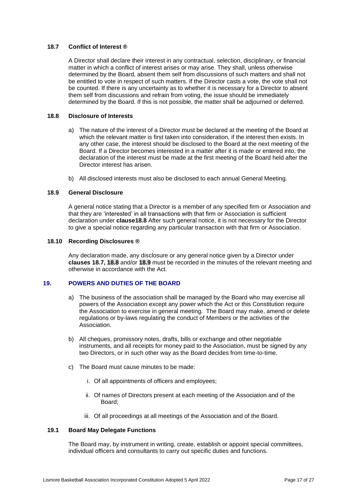## **18.7 Conflict of Interest ®**

A Director shall declare their interest in any contractual, selection, disciplinary, or financial matter in which a conflict of interest arises or may arise. They shall, unless otherwise determined by the Board, absent them self from discussions of such matters and shall not be entitled to vote in respect of such matters. If the Director casts a vote, the vote shall not be counted. If there is any uncertainty as to whether it is necessary for a Director to absent them self from discussions and refrain from voting, the issue should be immediately determined by the Board. If this is not possible, the matter shall be adjourned or deferred.

#### **18.8 Disclosure of Interests**

- a) The nature of the interest of a Director must be declared at the meeting of the Board at which the relevant matter is first taken into consideration, if the interest then exists. In any other case, the interest should be disclosed to the Board at the next meeting of the Board. If a Director becomes interested in a matter after it is made or entered into, the declaration of the interest must be made at the first meeting of the Board held after the Director interest has arisen.
- b) All disclosed interests must also be disclosed to each annual General Meeting.

## **18.9 General Disclosure**

A general notice stating that a Director is a member of any specified firm or Association and that they are 'interested' in all transactions with that firm or Association is sufficient declaration under **clause18.8** After such general notice, it is not necessary for the Director to give a special notice regarding any particular transaction with that firm or Association.

#### **18.10 Recording Disclosures ®**

Any declaration made, any disclosure or any general notice given by a Director under **clauses 18.7, 18.8** and/or **18.9** must be recorded in the minutes of the relevant meeting and otherwise in accordance with the Act.

## **19. POWERS AND DUTIES OF THE BOARD**

- a) The business of the association shall be managed by the Board who may exercise all powers of the Association except any power which the Act or this Constitution require the Association to exercise in general meeting. The Board may make, amend or delete regulations or by-laws regulating the conduct of Members or the activities of the Association.
- b) All cheques, promissory notes, drafts, bills or exchange and other negotiable instruments, and all receipts for money paid to the Association, must be signed by any two Directors, or in such other way as the Board decides from time-to-time.
- c) The Board must cause minutes to be made:
	- i. Of all appointments of officers and employees;
	- ii. Of names of Directors present at each meeting of the Association and of the Board;
	- iii. Of all proceedings at all meetings of the Association and of the Board.

#### **19.1 Board May Delegate Functions**

The Board may, by instrument in writing, create, establish or appoint special committees, individual officers and consultants to carry out specific duties and functions.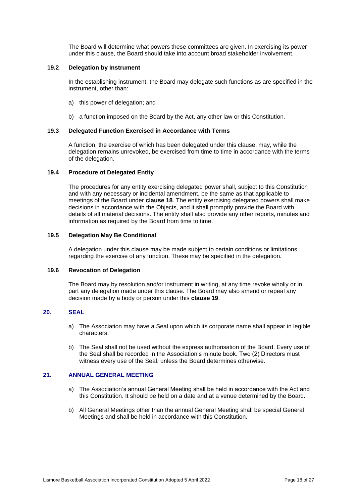The Board will determine what powers these committees are given. In exercising its power under this clause, the Board should take into account broad stakeholder involvement.

#### **19.2 Delegation by Instrument**

In the establishing instrument, the Board may delegate such functions as are specified in the instrument, other than:

- a) this power of delegation; and
- b) a function imposed on the Board by the Act, any other law or this Constitution.

## **19.3 Delegated Function Exercised in Accordance with Terms**

A function, the exercise of which has been delegated under this clause, may, while the delegation remains unrevoked, be exercised from time to time in accordance with the terms of the delegation.

## **19.4 Procedure of Delegated Entity**

The procedures for any entity exercising delegated power shall, subject to this Constitution and with any necessary or incidental amendment, be the same as that applicable to meetings of the Board under **clause 18**. The entity exercising delegated powers shall make decisions in accordance with the Objects, and it shall promptly provide the Board with details of all material decisions. The entity shall also provide any other reports, minutes and information as required by the Board from time to time.

## **19.5 Delegation May Be Conditional**

A delegation under this clause may be made subject to certain conditions or limitations regarding the exercise of any function. These may be specified in the delegation.

#### **19.6 Revocation of Delegation**

The Board may by resolution and/or instrument in writing, at any time revoke wholly or in part any delegation made under this clause. The Board may also amend or repeal any decision made by a body or person under this **clause 19**.

## **20. SEAL**

- a) The Association may have a Seal upon which its corporate name shall appear in legible characters.
- b) The Seal shall not be used without the express authorisation of the Board. Every use of the Seal shall be recorded in the Association's minute book. Two (2) Directors must witness every use of the Seal, unless the Board determines otherwise.

## **21. ANNUAL GENERAL MEETING**

- a) The Association's annual General Meeting shall be held in accordance with the Act and this Constitution. It should be held on a date and at a venue determined by the Board.
- b) All General Meetings other than the annual General Meeting shall be special General Meetings and shall be held in accordance with this Constitution.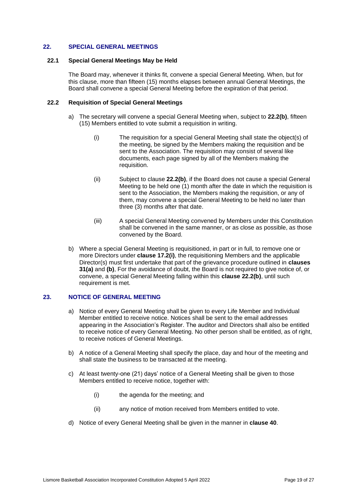## **22. SPECIAL GENERAL MEETINGS**

#### **22.1 Special General Meetings May be Held**

The Board may, whenever it thinks fit, convene a special General Meeting. When, but for this clause, more than fifteen (15) months elapses between annual General Meetings, the Board shall convene a special General Meeting before the expiration of that period.

#### **22.2 Requisition of Special General Meetings**

- a) The secretary will convene a special General Meeting when, subject to **22.2(b)**, fifteen (15) Members entitled to vote submit a requisition in writing.
	- (i) The requisition for a special General Meeting shall state the object(s) of the meeting, be signed by the Members making the requisition and be sent to the Association. The requisition may consist of several like documents, each page signed by all of the Members making the requisition.
	- (ii) Subject to clause **22.2(b)**, if the Board does not cause a special General Meeting to be held one (1) month after the date in which the requisition is sent to the Association, the Members making the requisition, or any of them, may convene a special General Meeting to be held no later than three (3) months after that date.
	- (iii) A special General Meeting convened by Members under this Constitution shall be convened in the same manner, or as close as possible, as those convened by the Board.
- b) Where a special General Meeting is requisitioned, in part or in full, to remove one or more Directors under **clause 17.2(i)**, the requisitioning Members and the applicable Director(s) must first undertake that part of the grievance procedure outlined in **clauses 31(a)** and **(b)**, For the avoidance of doubt, the Board is not required to give notice of, or convene, a special General Meeting falling within this **clause 22.2(b)**, until such requirement is met.

#### **23. NOTICE OF GENERAL MEETING**

- a) Notice of every General Meeting shall be given to every Life Member and Individual Member entitled to receive notice. Notices shall be sent to the email addresses appearing in the Association's Register. The auditor and Directors shall also be entitled to receive notice of every General Meeting. No other person shall be entitled, as of right, to receive notices of General Meetings.
- b) A notice of a General Meeting shall specify the place, day and hour of the meeting and shall state the business to be transacted at the meeting.
- c) At least twenty-one (21) days' notice of a General Meeting shall be given to those Members entitled to receive notice, together with:
	- (i) the agenda for the meeting; and
	- (ii) any notice of motion received from Members entitled to vote.
- d) Notice of every General Meeting shall be given in the manner in **clause 40**.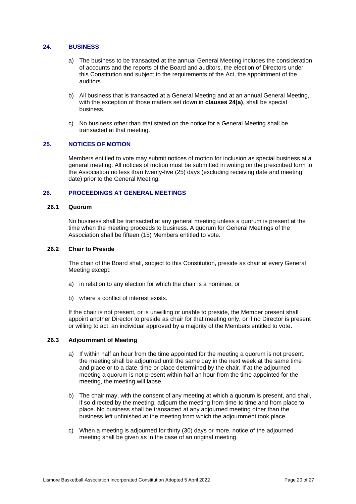## **24. BUSINESS**

- a) The business to be transacted at the annual General Meeting includes the consideration of accounts and the reports of the Board and auditors, the election of Directors under this Constitution and subject to the requirements of the Act, the appointment of the auditors.
- b) All business that is transacted at a General Meeting and at an annual General Meeting, with the exception of those matters set down in **clauses 24(a)**, shall be special business.
- c) No business other than that stated on the notice for a General Meeting shall be transacted at that meeting.

## **25. NOTICES OF MOTION**

Members entitled to vote may submit notices of motion for inclusion as special business at a general meeting. All notices of motion must be submitted in writing on the prescribed form to the Association no less than twenty-five (25) days (excluding receiving date and meeting date) prior to the General Meeting.

## **26. PROCEEDINGS AT GENERAL MEETINGS**

## **26.1 Quorum**

No business shall be transacted at any general meeting unless a quorum is present at the time when the meeting proceeds to business. A quorum for General Meetings of the Association shall be fifteen (15) Members entitled to vote.

#### **26.2 Chair to Preside**

The chair of the Board shall, subject to this Constitution, preside as chair at every General Meeting except:

- a) in relation to any election for which the chair is a nominee; or
- b) where a conflict of interest exists.

If the chair is not present, or is unwilling or unable to preside, the Member present shall appoint another Director to preside as chair for that meeting only, or if no Director is present or willing to act, an individual approved by a majority of the Members entitled to vote.

#### **26.3 Adjournment of Meeting**

- a) If within half an hour from the time appointed for the meeting a quorum is not present, the meeting shall be adjourned until the same day in the next week at the same time and place or to a date, time or place determined by the chair. If at the adjourned meeting a quorum is not present within half an hour from the time appointed for the meeting, the meeting will lapse.
- b) The chair may, with the consent of any meeting at which a quorum is present, and shall, if so directed by the meeting, adjourn the meeting from time to time and from place to place. No business shall be transacted at any adjourned meeting other than the business left unfinished at the meeting from which the adjournment took place.
- c) When a meeting is adjourned for thirty (30) days or more, notice of the adjourned meeting shall be given as in the case of an original meeting.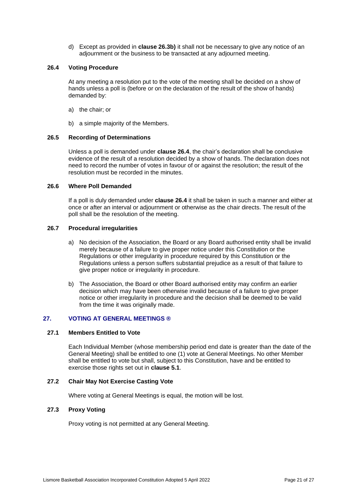d) Except as provided in **clause 26.3b)** it shall not be necessary to give any notice of an adjournment or the business to be transacted at any adjourned meeting.

## **26.4 Voting Procedure**

At any meeting a resolution put to the vote of the meeting shall be decided on a show of hands unless a poll is (before or on the declaration of the result of the show of hands) demanded by:

- a) the chair; or
- b) a simple majority of the Members.

## **26.5 Recording of Determinations**

Unless a poll is demanded under **clause 26.4**, the chair's declaration shall be conclusive evidence of the result of a resolution decided by a show of hands. The declaration does not need to record the number of votes in favour of or against the resolution; the result of the resolution must be recorded in the minutes.

#### **26.6 Where Poll Demanded**

If a poll is duly demanded under **clause 26.4** it shall be taken in such a manner and either at once or after an interval or adjournment or otherwise as the chair directs. The result of the poll shall be the resolution of the meeting.

## **26.7 Procedural irregularities**

- a) No decision of the Association, the Board or any Board authorised entity shall be invalid merely because of a failure to give proper notice under this Constitution or the Regulations or other irregularity in procedure required by this Constitution or the Regulations unless a person suffers substantial prejudice as a result of that failure to give proper notice or irregularity in procedure.
- b) The Association, the Board or other Board authorised entity may confirm an earlier decision which may have been otherwise invalid because of a failure to give proper notice or other irregularity in procedure and the decision shall be deemed to be valid from the time it was originally made.

## **27. VOTING AT GENERAL MEETINGS ®**

#### **27.1 Members Entitled to Vote**

Each Individual Member (whose membership period end date is greater than the date of the General Meeting) shall be entitled to one (1) vote at General Meetings. No other Member shall be entitled to vote but shall, subject to this Constitution, have and be entitled to exercise those rights set out in **clause 5.1**.

#### **27.2 Chair May Not Exercise Casting Vote**

Where voting at General Meetings is equal, the motion will be lost.

#### **27.3 Proxy Voting**

Proxy voting is not permitted at any General Meeting.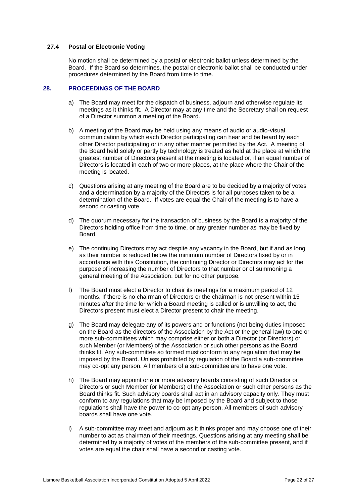## **27.4 Postal or Electronic Voting**

No motion shall be determined by a postal or electronic ballot unless determined by the Board. If the Board so determines, the postal or electronic ballot shall be conducted under procedures determined by the Board from time to time.

#### **28. PROCEEDINGS OF THE BOARD**

- a) The Board may meet for the dispatch of business, adjourn and otherwise regulate its meetings as it thinks fit. A Director may at any time and the Secretary shall on request of a Director summon a meeting of the Board.
- b) A meeting of the Board may be held using any means of audio or audio-visual communication by which each Director participating can hear and be heard by each other Director participating or in any other manner permitted by the Act. A meeting of the Board held solely or partly by technology is treated as held at the place at which the greatest number of Directors present at the meeting is located or, if an equal number of Directors is located in each of two or more places, at the place where the Chair of the meeting is located.
- c) Questions arising at any meeting of the Board are to be decided by a majority of votes and a determination by a majority of the Directors is for all purposes taken to be a determination of the Board. If votes are equal the Chair of the meeting is to have a second or casting vote.
- d) The quorum necessary for the transaction of business by the Board is a majority of the Directors holding office from time to time, or any greater number as may be fixed by Board.
- e) The continuing Directors may act despite any vacancy in the Board, but if and as long as their number is reduced below the minimum number of Directors fixed by or in accordance with this Constitution, the continuing Director or Directors may act for the purpose of increasing the number of Directors to that number or of summoning a general meeting of the Association, but for no other purpose.
- f) The Board must elect a Director to chair its meetings for a maximum period of 12 months. If there is no chairman of Directors or the chairman is not present within 15 minutes after the time for which a Board meeting is called or is unwilling to act, the Directors present must elect a Director present to chair the meeting.
- g) The Board may delegate any of its powers and or functions (not being duties imposed on the Board as the directors of the Association by the Act or the general law) to one or more sub-committees which may comprise either or both a Director (or Directors) or such Member (or Members) of the Association or such other persons as the Board thinks fit. Any sub-committee so formed must conform to any regulation that may be imposed by the Board. Unless prohibited by regulation of the Board a sub-committee may co-opt any person. All members of a sub-committee are to have one vote.
- h) The Board may appoint one or more advisory boards consisting of such Director or Directors or such Member (or Members) of the Association or such other persons as the Board thinks fit. Such advisory boards shall act in an advisory capacity only. They must conform to any regulations that may be imposed by the Board and subject to those regulations shall have the power to co-opt any person. All members of such advisory boards shall have one vote.
- i) A sub-committee may meet and adjourn as it thinks proper and may choose one of their number to act as chairman of their meetings. Questions arising at any meeting shall be determined by a majority of votes of the members of the sub-committee present, and if votes are equal the chair shall have a second or casting vote.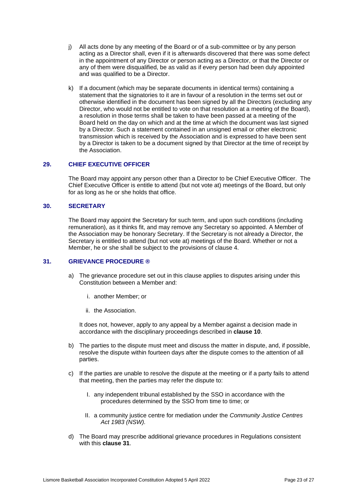- j) All acts done by any meeting of the Board or of a sub-committee or by any person acting as a Director shall, even if it is afterwards discovered that there was some defect in the appointment of any Director or person acting as a Director, or that the Director or any of them were disqualified, be as valid as if every person had been duly appointed and was qualified to be a Director.
- k) If a document (which may be separate documents in identical terms) containing a statement that the signatories to it are in favour of a resolution in the terms set out or otherwise identified in the document has been signed by all the Directors (excluding any Director, who would not be entitled to vote on that resolution at a meeting of the Board), a resolution in those terms shall be taken to have been passed at a meeting of the Board held on the day on which and at the time at which the document was last signed by a Director. Such a statement contained in an unsigned email or other electronic transmission which is received by the Association and is expressed to have been sent by a Director is taken to be a document signed by that Director at the time of receipt by the Association.

## **29. CHIEF EXECUTIVE OFFICER**

The Board may appoint any person other than a Director to be Chief Executive Officer. The Chief Executive Officer is entitle to attend (but not vote at) meetings of the Board, but only for as long as he or she holds that office.

## **30. SECRETARY**

The Board may appoint the Secretary for such term, and upon such conditions (including remuneration), as it thinks fit, and may remove any Secretary so appointed. A Member of the Association may be honorary Secretary. If the Secretary is not already a Director, the Secretary is entitled to attend (but not vote at) meetings of the Board. Whether or not a Member, he or she shall be subject to the provisions of clause 4.

### **31. GRIEVANCE PROCEDURE ®**

- a) The grievance procedure set out in this clause applies to disputes arising under this Constitution between a Member and:
	- i. another Member; or
	- ii. the Association.

It does not, however, apply to any appeal by a Member against a decision made in accordance with the disciplinary proceedings described in **clause 10**.

- b) The parties to the dispute must meet and discuss the matter in dispute, and, if possible, resolve the dispute within fourteen days after the dispute comes to the attention of all parties.
- c) If the parties are unable to resolve the dispute at the meeting or if a party fails to attend that meeting, then the parties may refer the dispute to:
	- I. any independent tribunal established by the SSO in accordance with the procedures determined by the SSO from time to time; or
	- II. a community justice centre for mediation under the *Community Justice Centres Act 1983 (NSW).*
- d) The Board may prescribe additional grievance procedures in Regulations consistent with this **clause 31**.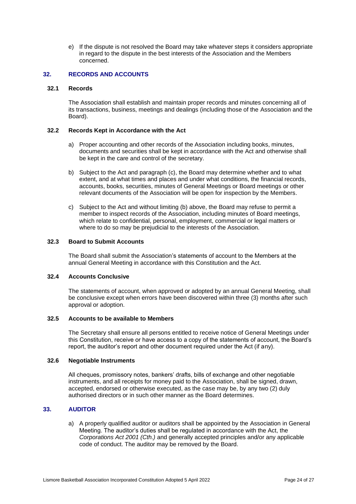e) If the dispute is not resolved the Board may take whatever steps it considers appropriate in regard to the dispute in the best interests of the Association and the Members concerned.

## **32. RECORDS AND ACCOUNTS**

## **32.1 Records**

The Association shall establish and maintain proper records and minutes concerning all of its transactions, business, meetings and dealings (including those of the Association and the Board).

## **32.2 Records Kept in Accordance with the Act**

- a) Proper accounting and other records of the Association including books, minutes, documents and securities shall be kept in accordance with the Act and otherwise shall be kept in the care and control of the secretary.
- b) Subject to the Act and paragraph (c), the Board may determine whether and to what extent, and at what times and places and under what conditions, the financial records, accounts, books, securities, minutes of General Meetings or Board meetings or other relevant documents of the Association will be open for inspection by the Members.
- c) Subject to the Act and without limiting (b) above, the Board may refuse to permit a member to inspect records of the Association, including minutes of Board meetings, which relate to confidential, personal, employment, commercial or legal matters or where to do so may be prejudicial to the interests of the Association.

## **32.3 Board to Submit Accounts**

The Board shall submit the Association's statements of account to the Members at the annual General Meeting in accordance with this Constitution and the Act.

### **32.4 Accounts Conclusive**

The statements of account, when approved or adopted by an annual General Meeting, shall be conclusive except when errors have been discovered within three (3) months after such approval or adoption.

## **32.5 Accounts to be available to Members**

The Secretary shall ensure all persons entitled to receive notice of General Meetings under this Constitution, receive or have access to a copy of the statements of account, the Board's report, the auditor's report and other document required under the Act (if any).

## **32.6 Negotiable Instruments**

All cheques, promissory notes, bankers' drafts, bills of exchange and other negotiable instruments, and all receipts for money paid to the Association, shall be signed, drawn, accepted, endorsed or otherwise executed, as the case may be, by any two (2) duly authorised directors or in such other manner as the Board determines.

## **33. AUDITOR**

a) A properly qualified auditor or auditors shall be appointed by the Association in General Meeting. The auditor's duties shall be regulated in accordance with the Act, the *Corporations Act 2001 (Cth.)* and generally accepted principles and/or any applicable code of conduct. The auditor may be removed by the Board.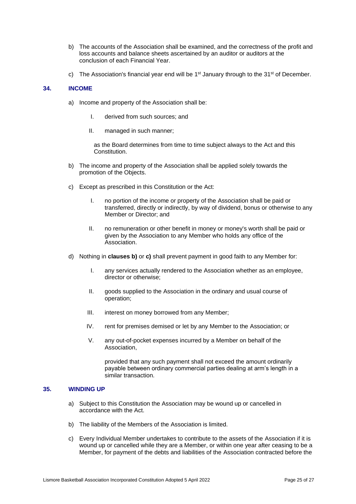- b) The accounts of the Association shall be examined, and the correctness of the profit and loss accounts and balance sheets ascertained by an auditor or auditors at the conclusion of each Financial Year.
- c) The Association's financial year end will be  $1<sup>st</sup>$  January through to the  $31<sup>st</sup>$  of December.

## **34. INCOME**

- a) Income and property of the Association shall be:
	- I. derived from such sources; and
	- II. managed in such manner;

as the Board determines from time to time subject always to the Act and this Constitution.

- <span id="page-24-0"></span>b) The income and property of the Association shall be applied solely towards the promotion of the Objects.
- <span id="page-24-1"></span>c) Except as prescribed in this Constitution or the Act:
	- I. no portion of the income or property of the Association shall be paid or transferred, directly or indirectly, by way of dividend, bonus or otherwise to any Member or Director; and
	- II. no remuneration or other benefit in money or money's worth shall be paid or given by the Association to any Member who holds any office of the **Association**
- d) Nothing in **clauses [b\)](#page-24-0)** or **[c\)](#page-24-1)** shall prevent payment in good faith to any Member for:
	- I. any services actually rendered to the Association whether as an employee, director or otherwise;
	- II. goods supplied to the Association in the ordinary and usual course of operation;
	- III. interest on money borrowed from any Member;
	- IV. rent for premises demised or let by any Member to the Association; or
	- V. any out-of-pocket expenses incurred by a Member on behalf of the Association,

provided that any such payment shall not exceed the amount ordinarily payable between ordinary commercial parties dealing at arm's length in a similar transaction.

## **35. WINDING UP**

- a) Subject to this Constitution the Association may be wound up or cancelled in accordance with the Act.
- b) The liability of the Members of the Association is limited.
- c) Every Individual Member undertakes to contribute to the assets of the Association if it is wound up or cancelled while they are a Member, or within one year after ceasing to be a Member, for payment of the debts and liabilities of the Association contracted before the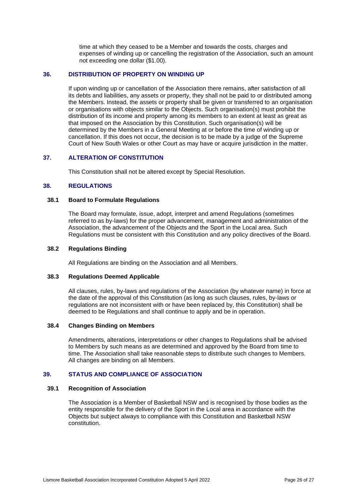time at which they ceased to be a Member and towards the costs, charges and expenses of winding up or cancelling the registration of the Association, such an amount not exceeding one dollar (\$1.00).

#### **36. DISTRIBUTION OF PROPERTY ON WINDING UP**

If upon winding up or cancellation of the Association there remains, after satisfaction of all its debts and liabilities, any assets or property, they shall not be paid to or distributed among the Members. Instead, the assets or property shall be given or transferred to an organisation or organisations with objects similar to the Objects. Such organisation(s) must prohibit the distribution of its income and property among its members to an extent at least as great as that imposed on the Association by this Constitution. Such organisation(s) will be determined by the Members in a General Meeting at or before the time of winding up or cancellation. If this does not occur, the decision is to be made by a judge of the Supreme Court of New South Wales or other Court as may have or acquire jurisdiction in the matter.

## **37. ALTERATION OF CONSTITUTION**

This Constitution shall not be altered except by Special Resolution.

## **38. REGULATIONS**

#### **38.1 Board to Formulate Regulations**

The Board may formulate, issue, adopt, interpret and amend Regulations (sometimes referred to as by-laws) for the proper advancement, management and administration of the Association, the advancement of the Objects and the Sport in the Local area. Such Regulations must be consistent with this Constitution and any policy directives of the Board.

#### **38.2 Regulations Binding**

All Regulations are binding on the Association and all Members.

#### **38.3 Regulations Deemed Applicable**

All clauses, rules, by-laws and regulations of the Association (by whatever name) in force at the date of the approval of this Constitution (as long as such clauses, rules, by-laws or regulations are not inconsistent with or have been replaced by, this Constitution) shall be deemed to be Regulations and shall continue to apply and be in operation.

#### **38.4 Changes Binding on Members**

Amendments, alterations, interpretations or other changes to Regulations shall be advised to Members by such means as are determined and approved by the Board from time to time. The Association shall take reasonable steps to distribute such changes to Members. All changes are binding on all Members.

## **39. STATUS AND COMPLIANCE OF ASSOCIATION**

#### **39.1 Recognition of Association**

The Association is a Member of Basketball NSW and is recognised by those bodies as the entity responsible for the delivery of the Sport in the Local area in accordance with the Objects but subject always to compliance with this Constitution and Basketball NSW constitution.